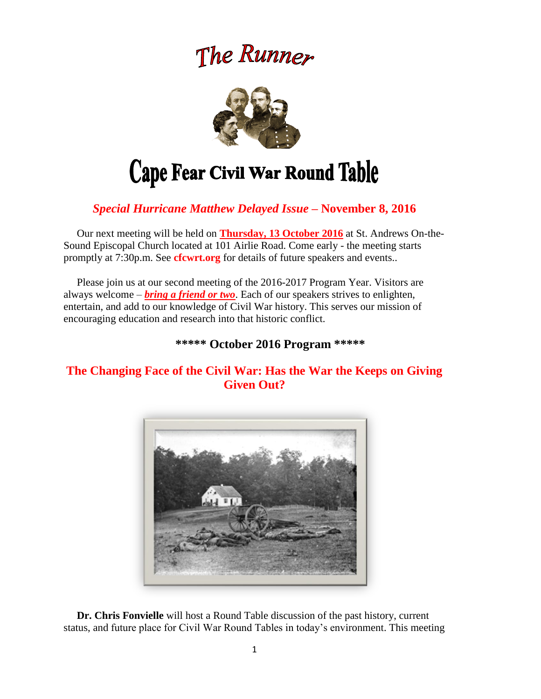# The Runner



# *Special Hurricane Matthew Delayed Issue –* **November 8, 2016**

 Our next meeting will be held on **Thursday, 13 October 2016** at St. Andrews On-the-Sound Episcopal Church located at 101 Airlie Road. Come early - the meeting starts promptly at 7:30p.m. See **cfcwrt.org** for details of future speakers and events..

 Please join us at our second meeting of the 2016-2017 Program Year. Visitors are always welcome – *bring a friend or two*. Each of our speakers strives to enlighten, entertain, and add to our knowledge of Civil War history. This serves our mission of encouraging education and research into that historic conflict.

# **\*\*\*\*\* October 2016 Program \*\*\*\*\***

# **The Changing Face of the Civil War: Has the War the Keeps on Giving Given Out?**



 **Dr. Chris Fonvielle** will host a Round Table discussion of the past history, current status, and future place for Civil War Round Tables in today's environment. This meeting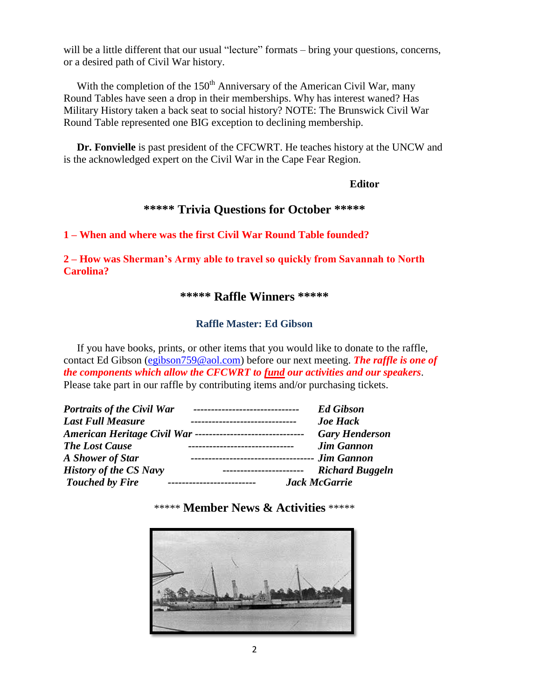will be a little different that our usual "lecture" formats – bring your questions, concerns, or a desired path of Civil War history.

With the completion of the  $150<sup>th</sup>$  Anniversary of the American Civil War, many Round Tables have seen a drop in their memberships. Why has interest waned? Has Military History taken a back seat to social history? NOTE: The Brunswick Civil War Round Table represented one BIG exception to declining membership.

 **Dr. Fonvielle** is past president of the CFCWRT. He teaches history at the UNCW and is the acknowledged expert on the Civil War in the Cape Fear Region.

#### **Editor**

# **\*\*\*\*\* Trivia Questions for October \*\*\*\*\***

**1 – When and where was the first Civil War Round Table founded?**

**2 – How was Sherman's Army able to travel so quickly from Savannah to North Carolina?**

#### **\*\*\*\*\* Raffle Winners \*\*\*\*\***

#### **Raffle Master: Ed Gibson**

If you have books, prints, or other items that you would like to donate to the raffle, contact Ed Gibson [\(egibson759@aol.com\)](mailto:egibson759@aol.com) before our next meeting. *The raffle is one of the components which allow the CFCWRT to fund our activities and our speakers*. Please take part in our raffle by contributing items and/or purchasing tickets.

| <b>Portraits of the Civil War</b> | --------------------------------                             | <b>Ed Gibson</b>       |  |
|-----------------------------------|--------------------------------------------------------------|------------------------|--|
| <b>Last Full Measure</b>          |                                                              | <b>Joe Hack</b>        |  |
|                                   | American Heritage Civil War -------------------------------- | <b>Gary Henderson</b>  |  |
| <b>The Lost Cause</b>             |                                                              | <b>Jim Gannon</b>      |  |
| A Shower of Star                  | -------------------------------------                        | <b>Jim Gannon</b>      |  |
| <b>History of the CS Navy</b>     | ------------------------                                     | <b>Richard Buggeln</b> |  |
| <b>Touched by Fire</b>            |                                                              | <b>Jack McGarrie</b>   |  |

\*\*\*\*\* **Member News & Activities** \*\*\*\*\*

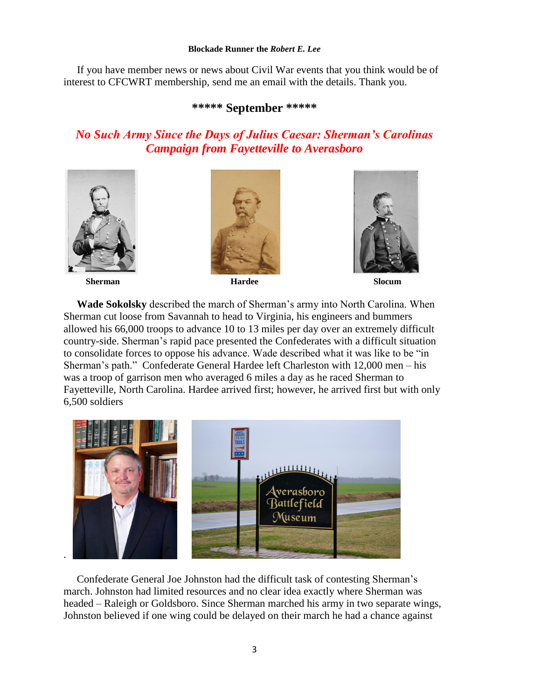#### **Blockade Runner the** *Robert E. Lee*

 If you have member news or news about Civil War events that you think would be of interest to CFCWRT membership, send me an email with the details. Thank you.

#### **\*\*\*\*\* September \*\*\*\*\***

# *No Such Army Since the Days of Julius Caesar: Sherman's Carolinas Campaign from Fayetteville to Averasboro*









 **Wade Sokolsky** described the march of Sherman's army into North Carolina. When Sherman cut loose from Savannah to head to Virginia, his engineers and bummers allowed his 66,000 troops to advance 10 to 13 miles per day over an extremely difficult country-side. Sherman's rapid pace presented the Confederates with a difficult situation to consolidate forces to oppose his advance. Wade described what it was like to be "in Sherman's path." Confederate General Hardee left Charleston with 12,000 men – his was a troop of garrison men who averaged 6 miles a day as he raced Sherman to Fayetteville, North Carolina. Hardee arrived first; however, he arrived first but with only 6,500 soldiers



 Confederate General Joe Johnston had the difficult task of contesting Sherman's march. Johnston had limited resources and no clear idea exactly where Sherman was headed – Raleigh or Goldsboro. Since Sherman marched his army in two separate wings, Johnston believed if one wing could be delayed on their march he had a chance against